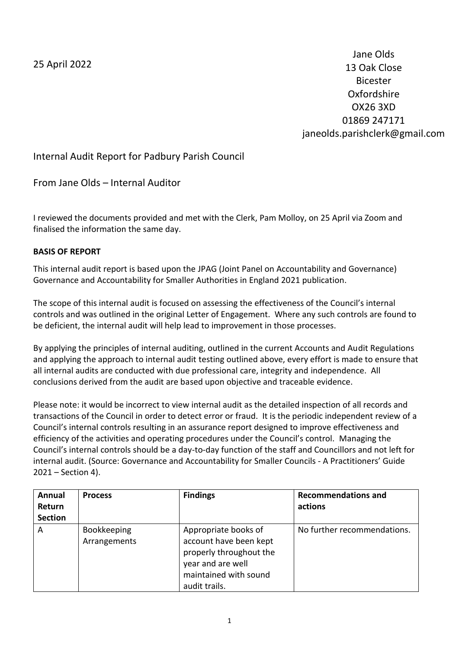25 April 2022

Jane Olds 13 Oak Close Bicester Oxfordshire OX26 3XD 01869 247171 janeolds.parishclerk@gmail.com

Internal Audit Report for Padbury Parish Council

From Jane Olds – Internal Auditor

I reviewed the documents provided and met with the Clerk, Pam Molloy, on 25 April via Zoom and finalised the information the same day.

### **BASIS OF REPORT**

This internal audit report is based upon the JPAG (Joint Panel on Accountability and Governance) Governance and Accountability for Smaller Authorities in England 2021 publication.

The scope of this internal audit is focused on assessing the effectiveness of the Council's internal controls and was outlined in the original Letter of Engagement. Where any such controls are found to be deficient, the internal audit will help lead to improvement in those processes.

By applying the principles of internal auditing, outlined in the current Accounts and Audit Regulations and applying the approach to internal audit testing outlined above, every effort is made to ensure that all internal audits are conducted with due professional care, integrity and independence. All conclusions derived from the audit are based upon objective and traceable evidence.

Please note: it would be incorrect to view internal audit as the detailed inspection of all records and transactions of the Council in order to detect error or fraud. It is the periodic independent review of a Council's internal controls resulting in an assurance report designed to improve effectiveness and efficiency of the activities and operating procedures under the Council's control. Managing the Council's internal controls should be a day-to-day function of the staff and Councillors and not left for internal audit. (Source: Governance and Accountability for Smaller Councils - A Practitioners' Guide 2021 – Section 4).

| Annual<br>Return<br><b>Section</b> | <b>Process</b>                     | <b>Findings</b>                                                                                                                          | <b>Recommendations and</b><br>actions |
|------------------------------------|------------------------------------|------------------------------------------------------------------------------------------------------------------------------------------|---------------------------------------|
| A                                  | <b>Bookkeeping</b><br>Arrangements | Appropriate books of<br>account have been kept<br>properly throughout the<br>year and are well<br>maintained with sound<br>audit trails. | No further recommendations.           |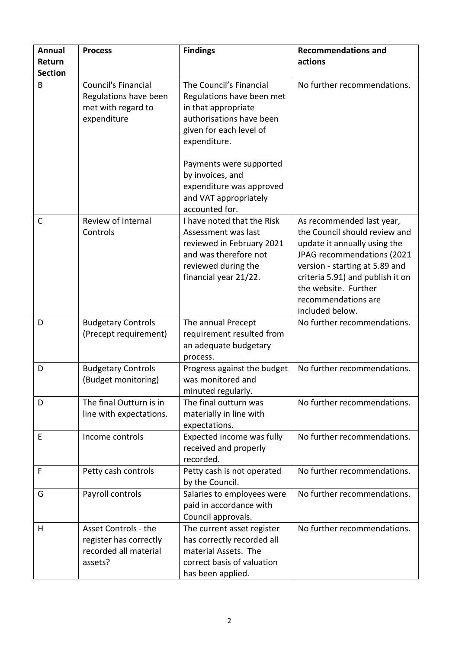| <b>Annual</b>  | <b>Process</b>                                                                     | <b>Findings</b>                                                                                                                                                                                                               | <b>Recommendations and</b>                                                                                                                                                                                                                                       |
|----------------|------------------------------------------------------------------------------------|-------------------------------------------------------------------------------------------------------------------------------------------------------------------------------------------------------------------------------|------------------------------------------------------------------------------------------------------------------------------------------------------------------------------------------------------------------------------------------------------------------|
| Return         |                                                                                    |                                                                                                                                                                                                                               | actions                                                                                                                                                                                                                                                          |
| <b>Section</b> |                                                                                    |                                                                                                                                                                                                                               |                                                                                                                                                                                                                                                                  |
| B              | Council's Financial<br>Regulations have been<br>met with regard to<br>expenditure  | The Council's Financial<br>Regulations have been met<br>in that appropriate<br>authorisations have been<br>given for each level of<br>expenditure.<br>Payments were supported<br>by invoices, and<br>expenditure was approved | No further recommendations.                                                                                                                                                                                                                                      |
|                |                                                                                    | and VAT appropriately                                                                                                                                                                                                         |                                                                                                                                                                                                                                                                  |
| $\mathsf{C}$   | Review of Internal<br>Controls                                                     | accounted for.<br>I have noted that the Risk<br>Assessment was last<br>reviewed in February 2021<br>and was therefore not<br>reviewed during the<br>financial year 21/22.                                                     | As recommended last year,<br>the Council should review and<br>update it annually using the<br>JPAG recommendations (2021<br>version - starting at 5.89 and<br>criteria 5.91) and publish it on<br>the website. Further<br>recommendations are<br>included below. |
| D              | <b>Budgetary Controls</b><br>(Precept requirement)                                 | The annual Precept<br>requirement resulted from<br>an adequate budgetary<br>process.                                                                                                                                          | No further recommendations.                                                                                                                                                                                                                                      |
| D              | <b>Budgetary Controls</b><br>(Budget monitoring)                                   | Progress against the budget<br>was monitored and<br>minuted regularly.                                                                                                                                                        | No further recommendations.                                                                                                                                                                                                                                      |
| D              | The final Outturn is in<br>line with expectations.                                 | The final outturn was<br>materially in line with<br>expectations.                                                                                                                                                             | No further recommendations.                                                                                                                                                                                                                                      |
| E              | Income controls                                                                    | Expected income was fully<br>received and properly<br>recorded.                                                                                                                                                               | No further recommendations.                                                                                                                                                                                                                                      |
| F              | Petty cash controls                                                                | Petty cash is not operated<br>by the Council.                                                                                                                                                                                 | No further recommendations.                                                                                                                                                                                                                                      |
| G              | Payroll controls                                                                   | Salaries to employees were<br>paid in accordance with<br>Council approvals.                                                                                                                                                   | No further recommendations.                                                                                                                                                                                                                                      |
| H              | Asset Controls - the<br>register has correctly<br>recorded all material<br>assets? | The current asset register<br>has correctly recorded all<br>material Assets. The<br>correct basis of valuation<br>has been applied.                                                                                           | No further recommendations.                                                                                                                                                                                                                                      |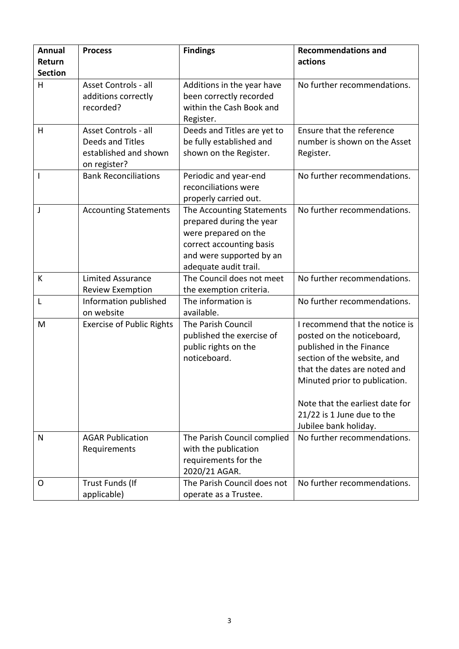| <b>Annual</b>  | <b>Process</b>                                                                    | <b>Findings</b>                                                                                                                                                | <b>Recommendations and</b>                                                                                                                                                                                                                                                         |
|----------------|-----------------------------------------------------------------------------------|----------------------------------------------------------------------------------------------------------------------------------------------------------------|------------------------------------------------------------------------------------------------------------------------------------------------------------------------------------------------------------------------------------------------------------------------------------|
| Return         |                                                                                   |                                                                                                                                                                | actions                                                                                                                                                                                                                                                                            |
| <b>Section</b> |                                                                                   |                                                                                                                                                                |                                                                                                                                                                                                                                                                                    |
| H              | Asset Controls - all<br>additions correctly<br>recorded?                          | Additions in the year have<br>been correctly recorded<br>within the Cash Book and<br>Register.                                                                 | No further recommendations.                                                                                                                                                                                                                                                        |
| H              | Asset Controls - all<br>Deeds and Titles<br>established and shown<br>on register? | Deeds and Titles are yet to<br>be fully established and<br>shown on the Register.                                                                              | Ensure that the reference<br>number is shown on the Asset<br>Register.                                                                                                                                                                                                             |
| $\mathsf{I}$   | <b>Bank Reconciliations</b>                                                       | Periodic and year-end<br>reconciliations were<br>properly carried out.                                                                                         | No further recommendations.                                                                                                                                                                                                                                                        |
| J              | <b>Accounting Statements</b>                                                      | The Accounting Statements<br>prepared during the year<br>were prepared on the<br>correct accounting basis<br>and were supported by an<br>adequate audit trail. | No further recommendations.                                                                                                                                                                                                                                                        |
| К              | <b>Limited Assurance</b><br><b>Review Exemption</b>                               | The Council does not meet<br>the exemption criteria.                                                                                                           | No further recommendations.                                                                                                                                                                                                                                                        |
| L              | Information published<br>on website                                               | The information is<br>available.                                                                                                                               | No further recommendations.                                                                                                                                                                                                                                                        |
| M              | <b>Exercise of Public Rights</b>                                                  | The Parish Council<br>published the exercise of<br>public rights on the<br>noticeboard.                                                                        | I recommend that the notice is<br>posted on the noticeboard,<br>published in the Finance<br>section of the website, and<br>that the dates are noted and<br>Minuted prior to publication.<br>Note that the earliest date for<br>21/22 is 1 June due to the<br>Jubilee bank holiday. |
| N              | <b>AGAR Publication</b>                                                           | The Parish Council complied                                                                                                                                    | No further recommendations.                                                                                                                                                                                                                                                        |
|                | Requirements                                                                      | with the publication<br>requirements for the<br>2020/21 AGAR.                                                                                                  |                                                                                                                                                                                                                                                                                    |
| 0              | Trust Funds (If<br>applicable)                                                    | The Parish Council does not<br>operate as a Trustee.                                                                                                           | No further recommendations.                                                                                                                                                                                                                                                        |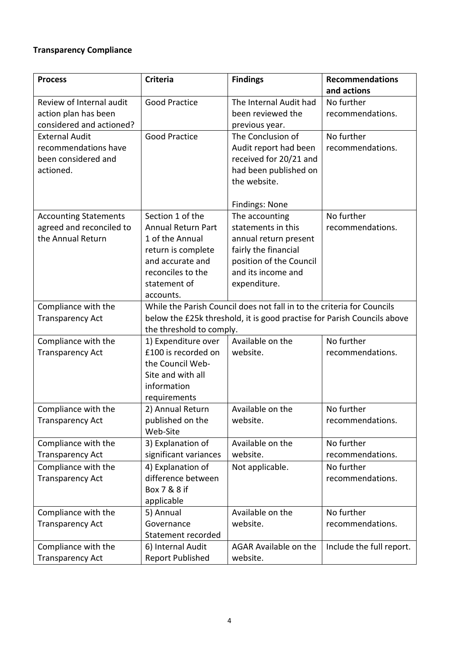# **Transparency Compliance**

| <b>Process</b>                                                                    | <b>Criteria</b>                                                                                                                                                               | <b>Findings</b>                                                                                                                                        | <b>Recommendations</b><br>and actions |
|-----------------------------------------------------------------------------------|-------------------------------------------------------------------------------------------------------------------------------------------------------------------------------|--------------------------------------------------------------------------------------------------------------------------------------------------------|---------------------------------------|
| Review of Internal audit<br>action plan has been<br>considered and actioned?      | <b>Good Practice</b>                                                                                                                                                          | The Internal Audit had<br>been reviewed the<br>previous year.                                                                                          | No further<br>recommendations.        |
| <b>External Audit</b><br>recommendations have<br>been considered and<br>actioned. | <b>Good Practice</b>                                                                                                                                                          | The Conclusion of<br>Audit report had been<br>received for 20/21 and<br>had been published on<br>the website.<br><b>Findings: None</b>                 | No further<br>recommendations.        |
| <b>Accounting Statements</b><br>agreed and reconciled to<br>the Annual Return     | Section 1 of the<br><b>Annual Return Part</b><br>1 of the Annual<br>return is complete<br>and accurate and<br>reconciles to the<br>statement of<br>accounts.                  | The accounting<br>statements in this<br>annual return present<br>fairly the financial<br>position of the Council<br>and its income and<br>expenditure. | No further<br>recommendations.        |
| Compliance with the<br><b>Transparency Act</b>                                    | While the Parish Council does not fall in to the criteria for Councils<br>below the £25k threshold, it is good practise for Parish Councils above<br>the threshold to comply. |                                                                                                                                                        |                                       |
| Compliance with the<br><b>Transparency Act</b>                                    | 1) Expenditure over<br>£100 is recorded on<br>the Council Web-<br>Site and with all<br>information<br>requirements                                                            | Available on the<br>website.                                                                                                                           | No further<br>recommendations.        |
| Compliance with the<br><b>Transparency Act</b>                                    | 2) Annual Return<br>published on the<br>Web-Site                                                                                                                              | Available on the<br>website.                                                                                                                           | No further<br>recommendations.        |
| Compliance with the<br><b>Transparency Act</b>                                    | 3) Explanation of<br>significant variances                                                                                                                                    | Available on the<br>website.                                                                                                                           | No further<br>recommendations.        |
| Compliance with the<br><b>Transparency Act</b>                                    | 4) Explanation of<br>difference between<br>Box 7 & 8 if<br>applicable                                                                                                         | Not applicable.                                                                                                                                        | No further<br>recommendations.        |
| Compliance with the<br><b>Transparency Act</b>                                    | 5) Annual<br>Governance<br>Statement recorded                                                                                                                                 | Available on the<br>website.                                                                                                                           | No further<br>recommendations.        |
| Compliance with the<br><b>Transparency Act</b>                                    | 6) Internal Audit<br><b>Report Published</b>                                                                                                                                  | <b>AGAR Available on the</b><br>website.                                                                                                               | Include the full report.              |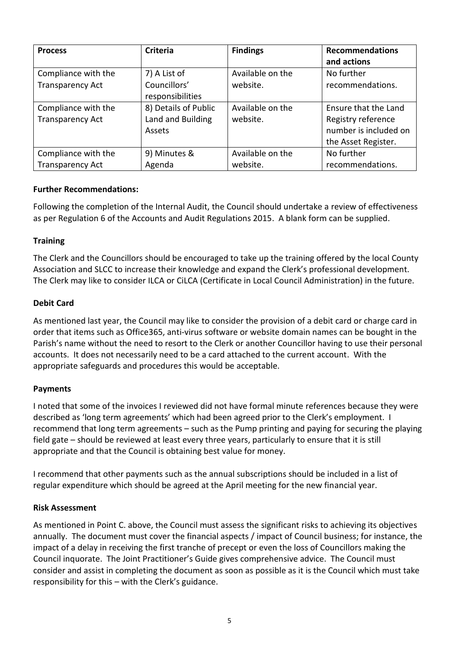| <b>Process</b>                                 | <b>Criteria</b>                                     | <b>Findings</b>              | <b>Recommendations</b><br>and actions                                                      |
|------------------------------------------------|-----------------------------------------------------|------------------------------|--------------------------------------------------------------------------------------------|
| Compliance with the<br><b>Transparency Act</b> | 7) A List of<br>Councillors'<br>responsibilities    | Available on the<br>website. | No further<br>recommendations.                                                             |
| Compliance with the<br><b>Transparency Act</b> | 8) Details of Public<br>Land and Building<br>Assets | Available on the<br>website. | Ensure that the Land<br>Registry reference<br>number is included on<br>the Asset Register. |
| Compliance with the<br><b>Transparency Act</b> | 9) Minutes &<br>Agenda                              | Available on the<br>website. | No further<br>recommendations.                                                             |

### **Further Recommendations:**

Following the completion of the Internal Audit, the Council should undertake a review of effectiveness as per Regulation 6 of the Accounts and Audit Regulations 2015. A blank form can be supplied.

### **Training**

The Clerk and the Councillors should be encouraged to take up the training offered by the local County Association and SLCC to increase their knowledge and expand the Clerk's professional development. The Clerk may like to consider ILCA or CiLCA (Certificate in Local Council Administration) in the future.

### **Debit Card**

As mentioned last year, the Council may like to consider the provision of a debit card or charge card in order that items such as Office365, anti-virus software or website domain names can be bought in the Parish's name without the need to resort to the Clerk or another Councillor having to use their personal accounts. It does not necessarily need to be a card attached to the current account. With the appropriate safeguards and procedures this would be acceptable.

#### **Payments**

I noted that some of the invoices I reviewed did not have formal minute references because they were described as 'long term agreements' which had been agreed prior to the Clerk's employment. I recommend that long term agreements – such as the Pump printing and paying for securing the playing field gate – should be reviewed at least every three years, particularly to ensure that it is still appropriate and that the Council is obtaining best value for money.

I recommend that other payments such as the annual subscriptions should be included in a list of regular expenditure which should be agreed at the April meeting for the new financial year.

#### **Risk Assessment**

As mentioned in Point C. above, the Council must assess the significant risks to achieving its objectives annually. The document must cover the financial aspects / impact of Council business; for instance, the impact of a delay in receiving the first tranche of precept or even the loss of Councillors making the Council inquorate. The Joint Practitioner's Guide gives comprehensive advice. The Council must consider and assist in completing the document as soon as possible as it is the Council which must take responsibility for this – with the Clerk's guidance.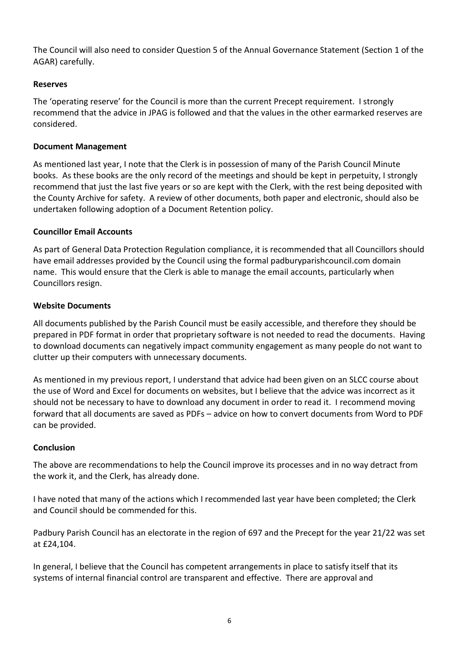The Council will also need to consider Question 5 of the Annual Governance Statement (Section 1 of the AGAR) carefully.

## **Reserves**

The 'operating reserve' for the Council is more than the current Precept requirement. I strongly recommend that the advice in JPAG is followed and that the values in the other earmarked reserves are considered.

# **Document Management**

As mentioned last year, I note that the Clerk is in possession of many of the Parish Council Minute books. As these books are the only record of the meetings and should be kept in perpetuity, I strongly recommend that just the last five years or so are kept with the Clerk, with the rest being deposited with the County Archive for safety. A review of other documents, both paper and electronic, should also be undertaken following adoption of a Document Retention policy.

# **Councillor Email Accounts**

As part of General Data Protection Regulation compliance, it is recommended that all Councillors should have email addresses provided by the Council using the formal padburyparishcouncil.com domain name. This would ensure that the Clerk is able to manage the email accounts, particularly when Councillors resign.

# **Website Documents**

All documents published by the Parish Council must be easily accessible, and therefore they should be prepared in PDF format in order that proprietary software is not needed to read the documents. Having to download documents can negatively impact community engagement as many people do not want to clutter up their computers with unnecessary documents.

As mentioned in my previous report, I understand that advice had been given on an SLCC course about the use of Word and Excel for documents on websites, but I believe that the advice was incorrect as it should not be necessary to have to download any document in order to read it. I recommend moving forward that all documents are saved as PDFs – advice on how to convert documents from Word to PDF can be provided.

# **Conclusion**

The above are recommendations to help the Council improve its processes and in no way detract from the work it, and the Clerk, has already done.

I have noted that many of the actions which I recommended last year have been completed; the Clerk and Council should be commended for this.

Padbury Parish Council has an electorate in the region of 697 and the Precept for the year 21/22 was set at £24,104.

In general, I believe that the Council has competent arrangements in place to satisfy itself that its systems of internal financial control are transparent and effective. There are approval and